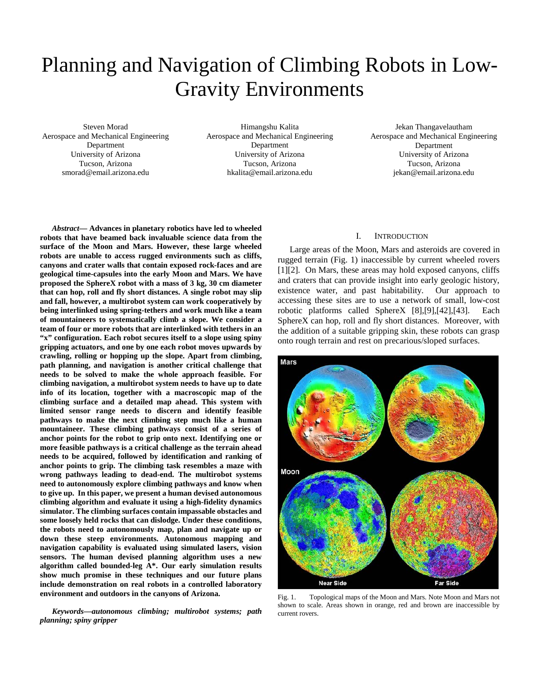# Planning and Navigation of Climbing Robots in Low-Gravity Environments

Steven Morad Aerospace and Mechanical Engineering Department University of Arizona Tucson, Arizona smorad@email.arizona.edu

Himangshu Kalita Aerospace and Mechanical Engineering Department University of Arizona Tucson, Arizona hkalita@email.arizona.edu

Jekan Thangavelautham Aerospace and Mechanical Engineering Department University of Arizona Tucson, Arizona jekan@email.arizona.edu

*Abstract***— Advances in planetary robotics have led to wheeled robots that have beamed back invaluable science data from the surface of the Moon and Mars. However, these large wheeled robots are unable to access rugged environments such as cliffs, canyons and crater walls that contain exposed rock-faces and are geological time-capsules into the early Moon and Mars. We have proposed the SphereX robot with a mass of 3 kg, 30 cm diameter that can hop, roll and fly short distances. A single robot may slip and fall, however, a multirobot system can work cooperatively by being interlinked using spring-tethers and work much like a team of mountaineers to systematically climb a slope. We consider a team of four or more robots that are interlinked with tethers in an "x" configuration. Each robot secures itself to a slope using spiny gripping actuators, and one by one each robot moves upwards by crawling, rolling or hopping up the slope. Apart from climbing, path planning, and navigation is another critical challenge that needs to be solved to make the whole approach feasible. For climbing navigation, a multirobot system needs to have up to date info of its location, together with a macroscopic map of the climbing surface and a detailed map ahead. This system with limited sensor range needs to discern and identify feasible pathways to make the next climbing step much like a human mountaineer. These climbing pathways consist of a series of anchor points for the robot to grip onto next. Identifying one or more feasible pathways is a critical challenge as the terrain ahead needs to be acquired, followed by identification and ranking of anchor points to grip. The climbing task resembles a maze with wrong pathways leading to dead-end. The multirobot systems need to autonomously explore climbing pathways and know when to give up. In this paper, we present a human devised autonomous climbing algorithm and evaluate it using a high-fidelity dynamics simulator. The climbing surfaces contain impassable obstacles and some loosely held rocks that can dislodge. Under these conditions, the robots need to autonomously map, plan and navigate up or down these steep environments. Autonomous mapping and navigation capability is evaluated using simulated lasers, vision sensors. The human devised planning algorithm uses a new algorithm called bounded-leg A\*. Our early simulation results show much promise in these techniques and our future plans include demonstration on real robots in a controlled laboratory environment and outdoors in the canyons of Arizona.**

*Keywords—autonomous climbing; multirobot systems; path planning; spiny gripper*

## I. INTRODUCTION

Large areas of the Moon, Mars and asteroids are covered in rugged terrain (Fig. 1) inaccessible by current wheeled rovers [1][2]. On Mars, these areas may hold exposed canyons, cliffs and craters that can provide insight into early geologic history, existence water, and past habitability. Our approach to accessing these sites are to use a network of small, low-cost robotic platforms called SphereX [8],[9],[42],[43]. Each SphereX can hop, roll and fly short distances. Moreover, with the addition of a suitable gripping skin, these robots can grasp onto rough terrain and rest on precarious/sloped surfaces.



Fig. 1. Topological maps of the Moon and Mars. Note Moon and Mars not shown to scale. Areas shown in orange, red and brown are inaccessible by current rovers.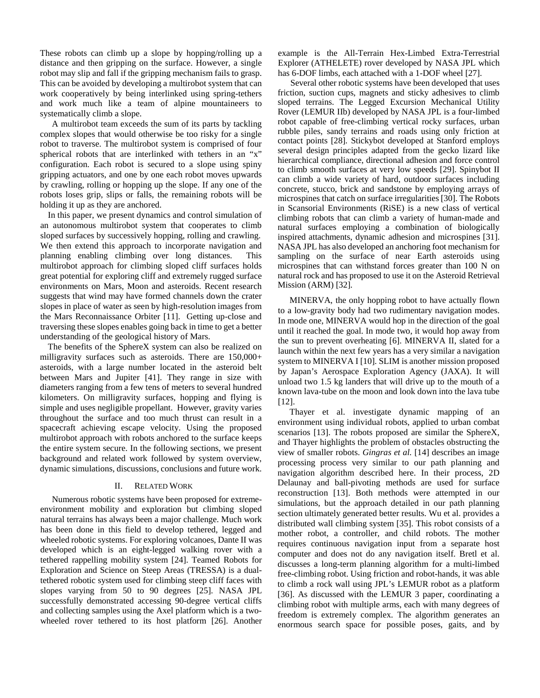These robots can climb up a slope by hopping/rolling up a distance and then gripping on the surface. However, a single robot may slip and fall if the gripping mechanism fails to grasp. This can be avoided by developing a multirobot system that can work cooperatively by being interlinked using spring-tethers and work much like a team of alpine mountaineers to systematically climb a slope.

A multirobot team exceeds the sum of its parts by tackling complex slopes that would otherwise be too risky for a single robot to traverse. The multirobot system is comprised of four spherical robots that are interlinked with tethers in an "x" configuration. Each robot is secured to a slope using spiny gripping actuators, and one by one each robot moves upwards by crawling, rolling or hopping up the slope. If any one of the robots loses grip, slips or falls, the remaining robots will be holding it up as they are anchored.

In this paper, we present dynamics and control simulation of an autonomous multirobot system that cooperates to climb sloped surfaces by successively hopping, rolling and crawling. We then extend this approach to incorporate navigation and planning enabling climbing over long distances. This multirobot approach for climbing sloped cliff surfaces holds great potential for exploring cliff and extremely rugged surface environments on Mars, Moon and asteroids. Recent research suggests that wind may have formed channels down the crater slopes in place of water as seen by high-resolution images from the Mars Reconnaissance Orbiter [11]. Getting up-close and traversing these slopes enables going back in time to get a better understanding of the geological history of Mars.

The benefits of the SphereX system can also be realized on milligravity surfaces such as asteroids. There are 150,000+ asteroids, with a large number located in the asteroid belt between Mars and Jupiter [41]. They range in size with diameters ranging from a few tens of meters to several hundred kilometers. On milligravity surfaces, hopping and flying is simple and uses negligible propellant. However, gravity varies throughout the surface and too much thrust can result in a spacecraft achieving escape velocity. Using the proposed multirobot approach with robots anchored to the surface keeps the entire system secure. In the following sections, we present background and related work followed by system overview, dynamic simulations, discussions, conclusions and future work.

## II. RELATED WORK

Numerous robotic systems have been proposed for extremeenvironment mobility and exploration but climbing sloped natural terrains has always been a major challenge. Much work has been done in this field to develop tethered, legged and wheeled robotic systems. For exploring volcanoes, Dante II was developed which is an eight-legged walking rover with a tethered rappelling mobility system [24]. Teamed Robots for Exploration and Science on Steep Areas (TRESSA) is a dualtethered robotic system used for climbing steep cliff faces with slopes varying from 50 to 90 degrees [25]. NASA JPL successfully demonstrated accessing 90-degree vertical cliffs and collecting samples using the Axel platform which is a twowheeled rover tethered to its host platform [26]. Another

example is the All-Terrain Hex-Limbed Extra-Terrestrial Explorer (ATHELETE) rover developed by NASA JPL which has 6-DOF limbs, each attached with a 1-DOF wheel [27].

Several other robotic systems have been developed that uses friction, suction cups, magnets and sticky adhesives to climb sloped terrains. The Legged Excursion Mechanical Utility Rover (LEMUR IIb) developed by NASA JPL is a four-limbed robot capable of free-climbing vertical rocky surfaces, urban rubble piles, sandy terrains and roads using only friction at contact points [28]. Stickybot developed at Stanford employs several design principles adapted from the gecko lizard like hierarchical compliance, directional adhesion and force control to climb smooth surfaces at very low speeds [29]. Spinybot II can climb a wide variety of hard, outdoor surfaces including concrete, stucco, brick and sandstone by employing arrays of microspines that catch on surface irregularities [30]. The Robots in Scansorial Environments (RiSE) is a new class of vertical climbing robots that can climb a variety of human-made and natural surfaces employing a combination of biologically inspired attachments, dynamic adhesion and microspines [31]. NASA JPL has also developed an anchoring foot mechanism for sampling on the surface of near Earth asteroids using microspines that can withstand forces greater than 100 N on natural rock and has proposed to use it on the Asteroid Retrieval Mission (ARM) [32].

MINERVA, the only hopping robot to have actually flown to a low-gravity body had two rudimentary navigation modes. In mode one, MINERVA would hop in the direction of the goal until it reached the goal. In mode two, it would hop away from the sun to prevent overheating [6]. MINERVA II, slated for a launch within the next few years has a very similar a navigation system to MINERVA I [10]. SLIM is another mission proposed by Japan's Aerospace Exploration Agency (JAXA). It will unload two 1.5 kg landers that will drive up to the mouth of a known lava-tube on the moon and look down into the lava tube [12].

Thayer et al. investigate dynamic mapping of an environment using individual robots, applied to urban combat scenarios [13]. The robots proposed are similar the SphereX, and Thayer highlights the problem of obstacles obstructing the view of smaller robots. *Gingras et al.* [14] describes an image processing process very similar to our path planning and navigation algorithm described here. In their process, 2D Delaunay and ball-pivoting methods are used for surface reconstruction [13]. Both methods were attempted in our simulations, but the approach detailed in our path planning section ultimately generated better results. Wu et al. provides a distributed wall climbing system [35]. This robot consists of a mother robot, a controller, and child robots. The mother requires continuous navigation input from a separate host computer and does not do any navigation itself. Bretl et al. discusses a long-term planning algorithm for a multi-limbed free-climbing robot. Using friction and robot-hands, it was able to climb a rock wall using JPL's LEMUR robot as a platform [36]. As discussed with the LEMUR 3 paper, coordinating a climbing robot with multiple arms, each with many degrees of freedom is extremely complex. The algorithm generates an enormous search space for possible poses, gaits, and by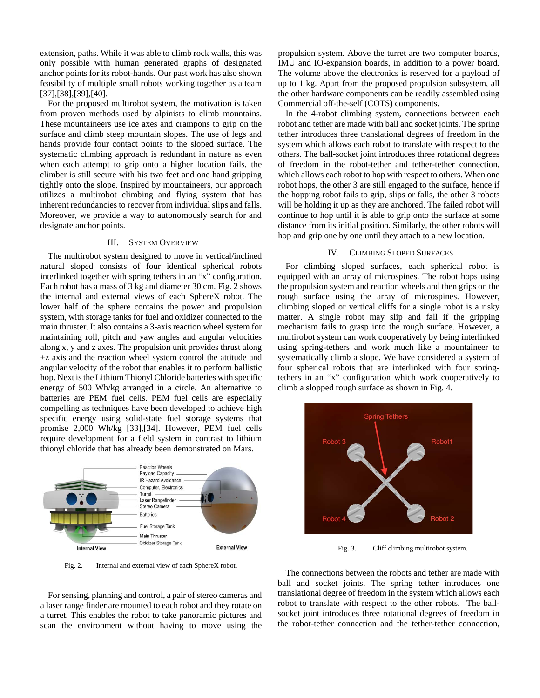extension, paths. While it was able to climb rock walls, this was only possible with human generated graphs of designated anchor points for its robot-hands. Our past work has also shown feasibility of multiple small robots working together as a team [37],[38],[39],[40].

For the proposed multirobot system, the motivation is taken from proven methods used by alpinists to climb mountains. These mountaineers use ice axes and crampons to grip on the surface and climb steep mountain slopes. The use of legs and hands provide four contact points to the sloped surface. The systematic climbing approach is redundant in nature as even when each attempt to grip onto a higher location fails, the climber is still secure with his two feet and one hand gripping tightly onto the slope. Inspired by mountaineers, our approach utilizes a multirobot climbing and flying system that has inherent redundancies to recover from individual slips and falls. Moreover, we provide a way to autonomously search for and designate anchor points.

# III. SYSTEM OVERVIEW

The multirobot system designed to move in vertical/inclined natural sloped consists of four identical spherical robots interlinked together with spring tethers in an "x" configuration. Each robot has a mass of 3 kg and diameter 30 cm. Fig. 2 shows the internal and external views of each SphereX robot. The lower half of the sphere contains the power and propulsion system, with storage tanks for fuel and oxidizer connected to the main thruster. It also contains a 3-axis reaction wheel system for maintaining roll, pitch and yaw angles and angular velocities along x, y and z axes. The propulsion unit provides thrust along +z axis and the reaction wheel system control the attitude and angular velocity of the robot that enables it to perform ballistic hop. Next is the Lithium Thionyl Chloride batteries with specific energy of 500 Wh/kg arranged in a circle. An alternative to batteries are PEM fuel cells. PEM fuel cells are especially compelling as techniques have been developed to achieve high specific energy using solid-state fuel storage systems that promise 2,000 Wh/kg [33],[34]. However, PEM fuel cells require development for a field system in contrast to lithium thionyl chloride that has already been demonstrated on Mars.



Fig. 2. Internal and external view of each SphereX robot.

For sensing, planning and control, a pair of stereo cameras and a laser range finder are mounted to each robot and they rotate on a turret. This enables the robot to take panoramic pictures and scan the environment without having to move using the

propulsion system. Above the turret are two computer boards, IMU and IO-expansion boards, in addition to a power board. The volume above the electronics is reserved for a payload of up to 1 kg. Apart from the proposed propulsion subsystem, all the other hardware components can be readily assembled using Commercial off-the-self (COTS) components.

In the 4-robot climbing system, connections between each robot and tether are made with ball and socket joints. The spring tether introduces three translational degrees of freedom in the system which allows each robot to translate with respect to the others. The ball-socket joint introduces three rotational degrees of freedom in the robot-tether and tether-tether connection, which allows each robot to hop with respect to others. When one robot hops, the other 3 are still engaged to the surface, hence if the hopping robot fails to grip, slips or falls, the other 3 robots will be holding it up as they are anchored. The failed robot will continue to hop until it is able to grip onto the surface at some distance from its initial position. Similarly, the other robots will hop and grip one by one until they attach to a new location.

# IV. CLIMBING SLOPED SURFACES

For climbing sloped surfaces, each spherical robot is equipped with an array of microspines. The robot hops using the propulsion system and reaction wheels and then grips on the rough surface using the array of microspines. However, climbing sloped or vertical cliffs for a single robot is a risky matter. A single robot may slip and fall if the gripping mechanism fails to grasp into the rough surface. However, a multirobot system can work cooperatively by being interlinked using spring-tethers and work much like a mountaineer to systematically climb a slope. We have considered a system of four spherical robots that are interlinked with four springtethers in an "x" configuration which work cooperatively to climb a slopped rough surface as shown in Fig. 4.



Fig. 3. Cliff climbing multirobot system.

The connections between the robots and tether are made with ball and socket joints. The spring tether introduces one translational degree of freedom in the system which allows each robot to translate with respect to the other robots. The ballsocket joint introduces three rotational degrees of freedom in the robot-tether connection and the tether-tether connection,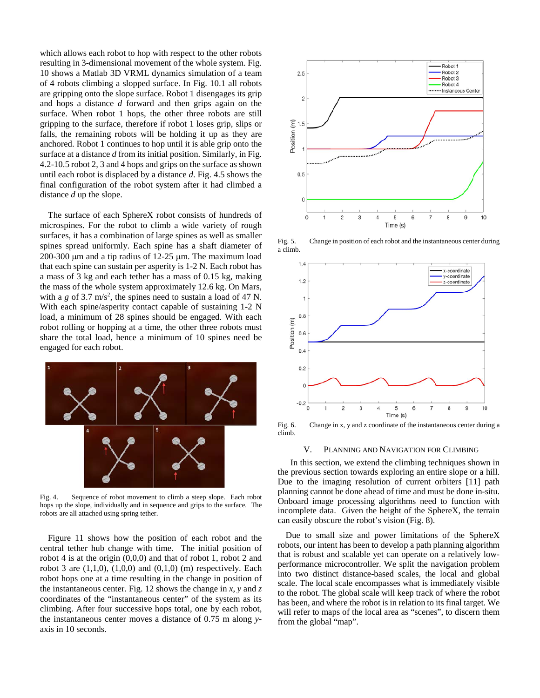which allows each robot to hop with respect to the other robots resulting in 3-dimensional movement of the whole system. Fig. 10 shows a Matlab 3D VRML dynamics simulation of a team of 4 robots climbing a slopped surface. In Fig. 10.1 all robots are gripping onto the slope surface. Robot 1 disengages its grip and hops a distance *d* forward and then grips again on the surface. When robot 1 hops, the other three robots are still gripping to the surface, therefore if robot 1 loses grip, slips or falls, the remaining robots will be holding it up as they are anchored. Robot 1 continues to hop until it is able grip onto the surface at a distance *d* from its initial position. Similarly, in Fig. 4.2-10.5 robot 2, 3 and 4 hops and grips on the surface as shown until each robot is displaced by a distance *d*. Fig. 4.5 shows the final configuration of the robot system after it had climbed a distance *d* up the slope.

The surface of each SphereX robot consists of hundreds of microspines. For the robot to climb a wide variety of rough surfaces, it has a combination of large spines as well as smaller spines spread uniformly. Each spine has a shaft diameter of 200-300 µm and a tip radius of 12-25 µm. The maximum load that each spine can sustain per asperity is 1-2 N. Each robot has a mass of 3 kg and each tether has a mass of 0.15 kg, making the mass of the whole system approximately 12.6 kg. On Mars, with a  $g$  of 3.7 m/s<sup>2</sup>, the spines need to sustain a load of 47 N. With each spine/asperity contact capable of sustaining 1-2 N load, a minimum of 28 spines should be engaged. With each robot rolling or hopping at a time, the other three robots must share the total load, hence a minimum of 10 spines need be engaged for each robot.



Fig. 4. Sequence of robot movement to climb a steep slope. Each robot hops up the slope, individually and in sequence and grips to the surface. The robots are all attached using spring tether.

Figure 11 shows how the position of each robot and the central tether hub change with time. The initial position of robot 4 is at the origin (0,0,0) and that of robot 1, robot 2 and robot 3 are  $(1,1,0)$ ,  $(1,0,0)$  and  $(0,1,0)$  (m) respectively. Each robot hops one at a time resulting in the change in position of the instantaneous center. Fig. 12 shows the change in  $x$ ,  $y$  and  $z$ coordinates of the "instantaneous center" of the system as its climbing. After four successive hops total, one by each robot, the instantaneous center moves a distance of 0.75 m along *y*axis in 10 seconds.



Fig. 5. Change in position of each robot and the instantaneous center during a climb.



Fig. 6. Change in x, y and z coordinate of the instantaneous center during a climb.

#### V. PLANNING AND NAVIGATION FOR CLIMBING

In this section, we extend the climbing techniques shown in the previous section towards exploring an entire slope or a hill. Due to the imaging resolution of current orbiters [11] path planning cannot be done ahead of time and must be done in-situ. Onboard image processing algorithms need to function with incomplete data. Given the height of the SphereX, the terrain can easily obscure the robot's vision (Fig. 8).

Due to small size and power limitations of the SphereX robots, our intent has been to develop a path planning algorithm that is robust and scalable yet can operate on a relatively lowperformance microcontroller. We split the navigation problem into two distinct distance-based scales, the local and global scale. The local scale encompasses what is immediately visible to the robot. The global scale will keep track of where the robot has been, and where the robot is in relation to its final target. We will refer to maps of the local area as "scenes", to discern them from the global "map".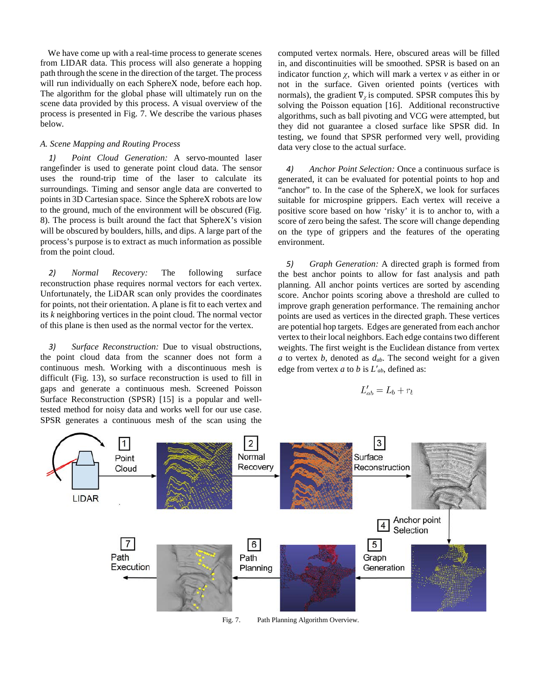We have come up with a real-time process to generate scenes from LIDAR data. This process will also generate a hopping path through the scene in the direction of the target. The process will run individually on each SphereX node, before each hop. The algorithm for the global phase will ultimately run on the scene data provided by this process. A visual overview of the process is presented in Fig. 7. We describe the various phases below.

# *A. Scene Mapping and Routing Process*

*1) Point Cloud Generation:* A servo-mounted laser rangefinder is used to generate point cloud data. The sensor uses the round-trip time of the laser to calculate its surroundings. Timing and sensor angle data are converted to points in 3D Cartesian space. Since the SphereX robots are low to the ground, much of the environment will be obscured (Fig. 8). The process is built around the fact that SphereX's vision will be obscured by boulders, hills, and dips. A large part of the process's purpose is to extract as much information as possible from the point cloud.

*2) Normal Recovery:* The following surface reconstruction phase requires normal vectors for each vertex. Unfortunately, the LiDAR scan only provides the coordinates for points, not their orientation. A plane is fit to each vertex and its *k* neighboring vertices in the point cloud. The normal vector of this plane is then used as the normal vector for the vertex.

*3) Surface Reconstruction:* Due to visual obstructions, the point cloud data from the scanner does not form a continuous mesh. Working with a discontinuous mesh is difficult (Fig. 13), so surface reconstruction is used to fill in gaps and generate a continuous mesh. Screened Poisson Surface Reconstruction (SPSR) [15] is a popular and welltested method for noisy data and works well for our use case. SPSR generates a continuous mesh of the scan using the computed vertex normals. Here, obscured areas will be filled in, and discontinuities will be smoothed. SPSR is based on an indicator function *χ*, which will mark a vertex *v* as either in or not in the surface. Given oriented points (vertices with normals), the gradient  $\nabla_{\gamma}$  is computed. SPSR computes this by solving the Poisson equation [16]. Additional reconstructive algorithms, such as ball pivoting and VCG were attempted, but they did not guarantee a closed surface like SPSR did. In testing, we found that SPSR performed very well, providing data very close to the actual surface.

*4) Anchor Point Selection:* Once a continuous surface is generated, it can be evaluated for potential points to hop and "anchor" to. In the case of the SphereX, we look for surfaces suitable for microspine grippers. Each vertex will receive a positive score based on how 'risky' it is to anchor to, with a score of zero being the safest. The score will change depending on the type of grippers and the features of the operating environment.

*5) Graph Generation:* A directed graph is formed from the best anchor points to allow for fast analysis and path planning. All anchor points vertices are sorted by ascending score. Anchor points scoring above a threshold are culled to improve graph generation performance. The remaining anchor points are used as vertices in the directed graph. These vertices are potential hop targets. Edges are generated from each anchor vertex to their local neighbors. Each edge contains two different weights. The first weight is the Euclidean distance from vertex *a* to vertex *b*, denoted as *dab*. The second weight for a given edge from vertex *a* to *b* is *L*′*ab*, defined as:

$$
L'_{ab} = L_b + r_b
$$

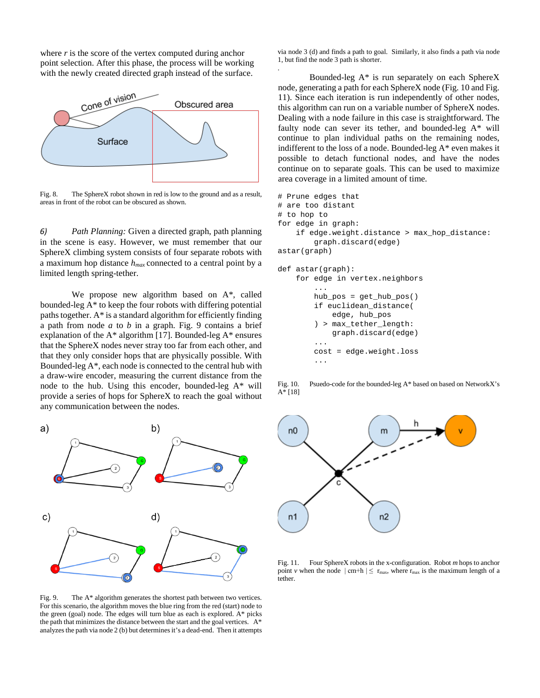where *r* is the score of the vertex computed during anchor point selection. After this phase, the process will be working with the newly created directed graph instead of the surface.



Fig. 8. The SphereX robot shown in red is low to the ground and as a result, areas in front of the robot can be obscured as shown.

*6) Path Planning:* Given a directed graph, path planning in the scene is easy. However, we must remember that our SphereX climbing system consists of four separate robots with a maximum hop distance *hmax* connected to a central point by a limited length spring-tether.

We propose new algorithm based on A\*, called bounded-leg A\* to keep the four robots with differing potential paths together. A\* is a standard algorithm for efficiently finding a path from node *a* to *b* in a graph. Fig. 9 contains a brief explanation of the  $A^*$  algorithm [17]. Bounded-leg  $A^*$  ensures that the SphereX nodes never stray too far from each other, and that they only consider hops that are physically possible. With Bounded-leg A\*, each node is connected to the central hub with a draw-wire encoder, measuring the current distance from the node to the hub. Using this encoder, bounded-leg A\* will provide a series of hops for SphereX to reach the goal without any communication between the nodes.



Fig. 9. The A\* algorithm generates the shortest path between two vertices. For this scenario, the algorithm moves the blue ring from the red (start) node to the green (goal) node. The edges will turn blue as each is explored. A\* picks the path that minimizes the distance between the start and the goal vertices. A\* analyzes the path via node 2 (b) but determines it's a dead-end. Then it attempts

via node 3 (d) and finds a path to goal. Similarly, it also finds a path via node 1, but find the node 3 path is shorter. .

Bounded-leg A\* is run separately on each SphereX node, generating a path for each SphereX node (Fig. 10 and Fig. 11). Since each iteration is run independently of other nodes, this algorithm can run on a variable number of SphereX nodes. Dealing with a node failure in this case is straightforward. The faulty node can sever its tether, and bounded-leg A\* will continue to plan individual paths on the remaining nodes, indifferent to the loss of a node. Bounded-leg A\* even makes it possible to detach functional nodes, and have the nodes continue on to separate goals. This can be used to maximize area coverage in a limited amount of time.

```
# Prune edges that
# are too distant
# to hop to
for edge in graph:
     if edge.weight.distance > max_hop_distance:
         graph.discard(edge)
astar(graph)
```
## def astar(graph):

```
 for edge in vertex.neighbors
 ...
        hub_pos = get_hub_pos()
        if euclidean_distance(
            edge, hub_pos
         ) > max_tether_length:
            graph.discard(edge)
 ...
        cost = edge.weight.loss
         ...
```
Fig. 10. Psuedo-code for the bounded-leg A\* based on based on NetworkX's A\* [18]



Fig. 11. Four SphereX robots in the x-configuration. Robot *m* hops to anchor point *v* when the node  $|\text{cm+h}| \leq r_{\text{max}}$ , where  $r_{\text{max}}$  is the maximum length of a tether.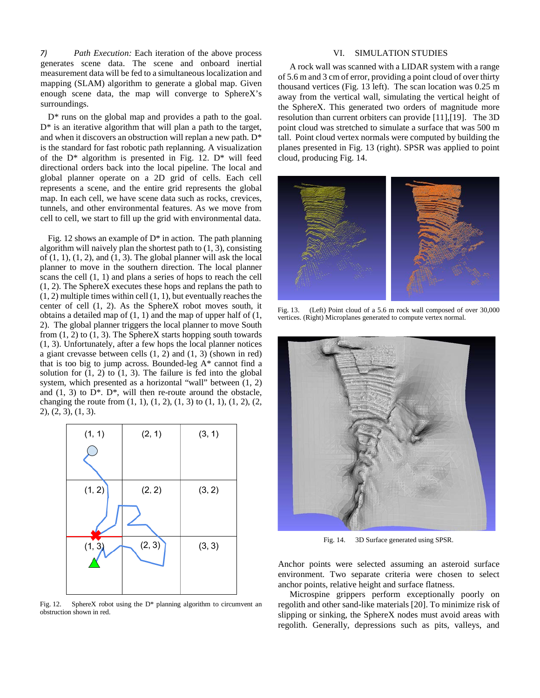*7) Path Execution:* Each iteration of the above process generates scene data. The scene and onboard inertial measurement data will be fed to a simultaneous localization and mapping (SLAM) algorithm to generate a global map. Given enough scene data, the map will converge to SphereX's surroundings.

D\* runs on the global map and provides a path to the goal.  $D^*$  is an iterative algorithm that will plan a path to the target, and when it discovers an obstruction will replan a new path. D\* is the standard for fast robotic path replanning. A visualization of the  $D^*$  algorithm is presented in Fig. 12.  $D^*$  will feed directional orders back into the local pipeline. The local and global planner operate on a 2D grid of cells. Each cell represents a scene, and the entire grid represents the global map. In each cell, we have scene data such as rocks, crevices, tunnels, and other environmental features. As we move from cell to cell, we start to fill up the grid with environmental data.

Fig. 12 shows an example of  $D^*$  in action. The path planning algorithm will naively plan the shortest path to  $(1, 3)$ , consisting of  $(1, 1)$ ,  $(1, 2)$ , and  $(1, 3)$ . The global planner will ask the local planner to move in the southern direction. The local planner scans the cell (1, 1) and plans a series of hops to reach the cell (1, 2). The SphereX executes these hops and replans the path to (1, 2) multiple times within cell (1, 1), but eventually reaches the center of cell (1, 2). As the SphereX robot moves south, it obtains a detailed map of  $(1, 1)$  and the map of upper half of  $(1, 1)$ 2). The global planner triggers the local planner to move South from  $(1, 2)$  to  $(1, 3)$ . The SphereX starts hopping south towards (1, 3). Unfortunately, after a few hops the local planner notices a giant crevasse between cells (1, 2) and (1, 3) (shown in red) that is too big to jump across. Bounded-leg A\* cannot find a solution for  $(1, 2)$  to  $(1, 3)$ . The failure is fed into the global system, which presented as a horizontal "wall" between (1, 2) and  $(1, 3)$  to  $D^*$ .  $D^*$ , will then re-route around the obstacle, changing the route from  $(1, 1)$ ,  $(1, 2)$ ,  $(1, 3)$  to  $(1, 1)$ ,  $(1, 2)$ ,  $(2, 1)$ 2), (2, 3), (1, 3).



Fig. 12. SphereX robot using the D\* planning algorithm to circumvent an obstruction shown in red.

### VI. SIMULATION STUDIES

A rock wall was scanned with a LIDAR system with a range of 5.6 m and 3 cm of error, providing a point cloud of over thirty thousand vertices (Fig. 13 left). The scan location was 0.25 m away from the vertical wall, simulating the vertical height of the SphereX. This generated two orders of magnitude more resolution than current orbiters can provide [11],[19]. The 3D point cloud was stretched to simulate a surface that was 500 m tall. Point cloud vertex normals were computed by building the planes presented in Fig. 13 (right). SPSR was applied to point cloud, producing Fig. 14.



Fig. 13. (Left) Point cloud of a 5.6 m rock wall composed of over 30,000 vertices. (Right) Microplanes generated to compute vertex normal.



Fig. 14. 3D Surface generated using SPSR.

Anchor points were selected assuming an asteroid surface environment. Two separate criteria were chosen to select anchor points, relative height and surface flatness.

Microspine grippers perform exceptionally poorly on regolith and other sand-like materials [20]. To minimize risk of slipping or sinking, the SphereX nodes must avoid areas with regolith. Generally, depressions such as pits, valleys, and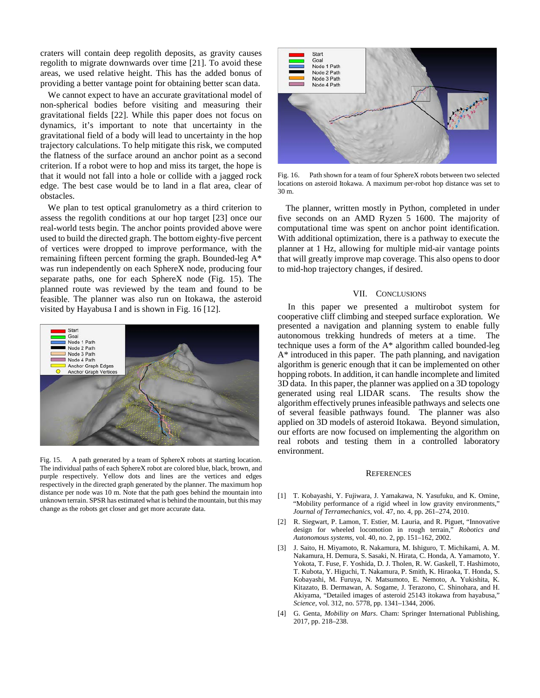craters will contain deep regolith deposits, as gravity causes regolith to migrate downwards over time [21]. To avoid these areas, we used relative height. This has the added bonus of providing a better vantage point for obtaining better scan data.

We cannot expect to have an accurate gravitational model of non-spherical bodies before visiting and measuring their gravitational fields [22]. While this paper does not focus on dynamics, it's important to note that uncertainty in the gravitational field of a body will lead to uncertainty in the hop trajectory calculations. To help mitigate this risk, we computed the flatness of the surface around an anchor point as a second criterion. If a robot were to hop and miss its target, the hope is that it would not fall into a hole or collide with a jagged rock edge. The best case would be to land in a flat area, clear of obstacles.

We plan to test optical granulometry as a third criterion to assess the regolith conditions at our hop target [23] once our real-world tests begin. The anchor points provided above were used to build the directed graph. The bottom eighty-five percent of vertices were dropped to improve performance, with the remaining fifteen percent forming the graph. Bounded-leg A\* was run independently on each SphereX node, producing four separate paths, one for each SphereX node (Fig. 15). The planned route was reviewed by the team and found to be feasible. The planner was also run on Itokawa, the asteroid visited by Hayabusa I and is shown in Fig. 16 [12].



Fig. 15. A path generated by a team of SphereX robots at starting location. The individual paths of each SphereX robot are colored blue, black, brown, and purple respectively. Yellow dots and lines are the vertices and edges respectively in the directed graph generated by the planner. The maximum hop distance per node was 10 m. Note that the path goes behind the mountain into unknown terrain. SPSR has estimated what is behind the mountain, but this may change as the robots get closer and get more accurate data.



Fig. 16. Path shown for a team of four SphereX robots between two selected locations on asteroid Itokawa. A maximum per-robot hop distance was set to 30 m.

The planner, written mostly in Python, completed in under five seconds on an AMD Ryzen 5 1600. The majority of computational time was spent on anchor point identification. With additional optimization, there is a pathway to execute the planner at 1 Hz, allowing for multiple mid-air vantage points that will greatly improve map coverage. This also opens to door to mid-hop trajectory changes, if desired.

# VII. CONCLUSIONS

In this paper we presented a multirobot system for cooperative cliff climbing and steeped surface exploration. We presented a navigation and planning system to enable fully autonomous trekking hundreds of meters at a time. The technique uses a form of the A\* algorithm called bounded-leg A\* introduced in this paper. The path planning, and navigation algorithm is generic enough that it can be implemented on other hopping robots. In addition, it can handle incomplete and limited 3D data. In this paper, the planner was applied on a 3D topology generated using real LIDAR scans. The results show the algorithm effectively prunes infeasible pathways and selects one of several feasible pathways found. The planner was also applied on 3D models of asteroid Itokawa. Beyond simulation, our efforts are now focused on implementing the algorithm on real robots and testing them in a controlled laboratory environment.

#### **REFERENCES**

- [1] T. Kobayashi, Y. Fujiwara, J. Yamakawa, N. Yasufuku, and K. Omine, "Mobility performance of a rigid wheel in low gravity environments," *Journal of Terramechanics*, vol. 47, no. 4, pp. 261–274, 2010.
- [2] R. Siegwart, P. Lamon, T. Estier, M. Lauria, and R. Piguet, "Innovative design for wheeled locomotion in rough terrain," *Robotics and Autonomous systems*, vol. 40, no. 2, pp. 151–162, 2002.
- [3] J. Saito, H. Miyamoto, R. Nakamura, M. Ishiguro, T. Michikami, A. M. Nakamura, H. Demura, S. Sasaki, N. Hirata, C. Honda, A. Yamamoto, Y. Yokota, T. Fuse, F. Yoshida, D. J. Tholen, R. W. Gaskell, T. Hashimoto, T. Kubota, Y. Higuchi, T. Nakamura, P. Smith, K. Hiraoka, T. Honda, S. Kobayashi, M. Furuya, N. Matsumoto, E. Nemoto, A. Yukishita, K. Kitazato, B. Dermawan, A. Sogame, J. Terazono, C. Shinohara, and H. Akiyama, "Detailed images of asteroid 25143 itokawa from hayabusa," *Science*, vol. 312, no. 5778, pp. 1341–1344, 2006.
- [4] G. Genta, *Mobility on Mars*. Cham: Springer International Publishing, 2017, pp. 218–238.